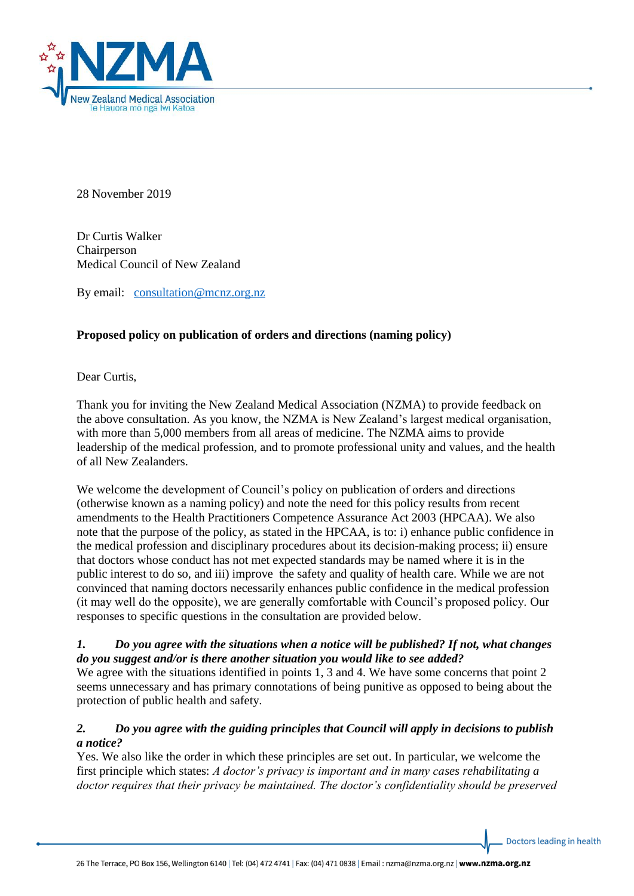

28 November 2019

Dr Curtis Walker Chairperson Medical Council of New Zealand

By email: [consultation@mcnz.org.nz](mailto:consultation@mcnz.org.nz)

## **Proposed policy on publication of orders and directions (naming policy)**

Dear Curtis,

Thank you for inviting the New Zealand Medical Association (NZMA) to provide feedback on the above consultation. As you know, the NZMA is New Zealand's largest medical organisation, with more than 5,000 members from all areas of medicine. The NZMA aims to provide leadership of the medical profession, and to promote professional unity and values, and the health of all New Zealanders.

We welcome the development of Council's policy on publication of orders and directions (otherwise known as a naming policy) and note the need for this policy results from recent amendments to the Health Practitioners Competence Assurance Act 2003 (HPCAA). We also note that the purpose of the policy, as stated in the HPCAA, is to: i) enhance public confidence in the medical profession and disciplinary procedures about its decision-making process; ii) ensure that doctors whose conduct has not met expected standards may be named where it is in the public interest to do so, and iii) improve the safety and quality of health care. While we are not convinced that naming doctors necessarily enhances public confidence in the medical profession (it may well do the opposite), we are generally comfortable with Council's proposed policy. Our responses to specific questions in the consultation are provided below.

#### *1. Do you agree with the situations when a notice will be published? If not, what changes do you suggest and/or is there another situation you would like to see added?*

We agree with the situations identified in points 1, 3 and 4. We have some concerns that point 2 seems unnecessary and has primary connotations of being punitive as opposed to being about the protection of public health and safety.

## *2. Do you agree with the guiding principles that Council will apply in decisions to publish a notice?*

Yes. We also like the order in which these principles are set out. In particular, we welcome the first principle which states: *A doctor's privacy is important and in many cases rehabilitating a doctor requires that their privacy be maintained. The doctor's confidentiality should be preserved*